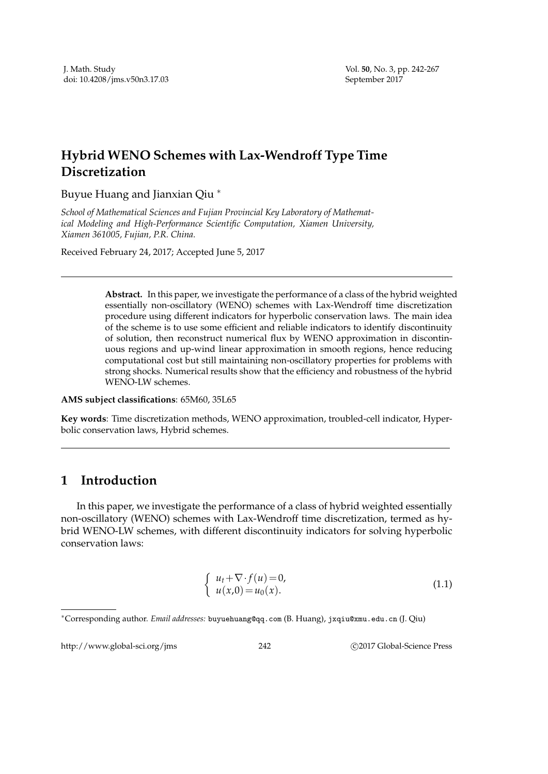## **Hybrid WENO Schemes with Lax-Wendroff Type Time Discretization**

Buyue Huang and Jianxian Qiu <sup>∗</sup>

*School of Mathematical Sciences and Fujian Provincial Key Laboratory of Mathematical Modeling and High-Performance Scientific Computation, Xiamen University, Xiamen 361005, Fujian, P.R. China.*

Received February 24, 2017; Accepted June 5, 2017

**Abstract.** In this paper, we investigate the performance of a class of the hybrid weighted essentially non-oscillatory (WENO) schemes with Lax-Wendroff time discretization procedure using different indicators for hyperbolic conservation laws. The main idea of the scheme is to use some efficient and reliable indicators to identify discontinuity of solution, then reconstruct numerical flux by WENO approximation in discontinuous regions and up-wind linear approximation in smooth regions, hence reducing computational cost but still maintaining non-oscillatory properties for problems with strong shocks. Numerical results show that the efficiency and robustness of the hybrid WENO-LW schemes.

**AMS subject classifications**: 65M60, 35L65

**Key words**: Time discretization methods, WENO approximation, troubled-cell indicator, Hyperbolic conservation laws, Hybrid schemes.

## **1 Introduction**

In this paper, we investigate the performance of a class of hybrid weighted essentially non-oscillatory (WENO) schemes with Lax-Wendroff time discretization, termed as hybrid WENO-LW schemes, with different discontinuity indicators for solving hyperbolic conservation laws:

$$
\begin{cases}\n u_t + \nabla \cdot f(u) = 0, \\
 u(x,0) = u_0(x).\n\end{cases}
$$
\n(1.1)

http://www.global-sci.org/jms 242 
242

242

242

242

25.2017 Global-Science Press
26

<sup>∗</sup>Corresponding author. *Email addresses:* buyuehuang@qq.com (B. Huang), jxqiu@xmu.edu.cn (J. Qiu)